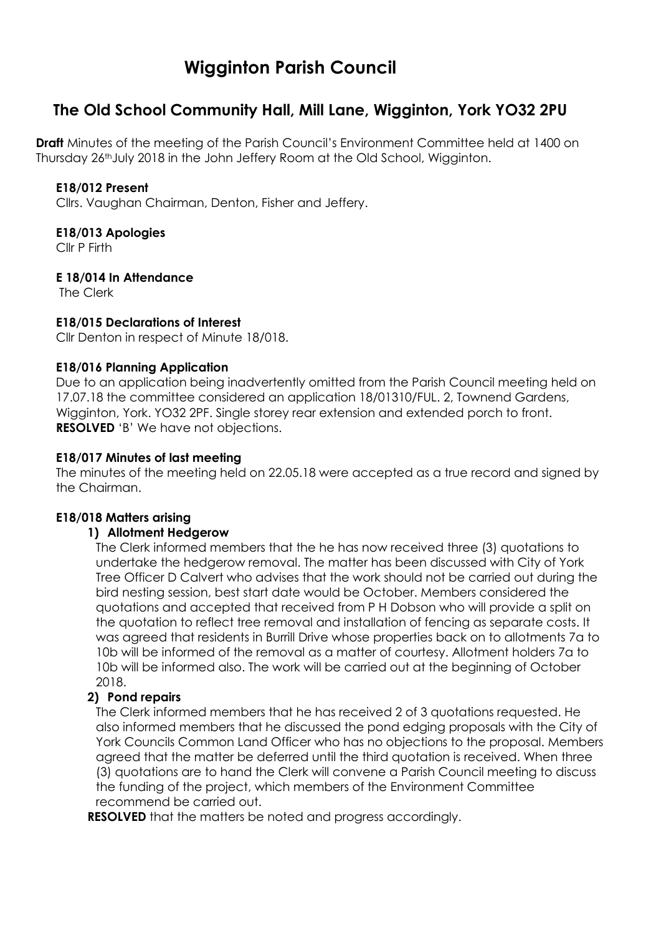# **Wigginton Parish Council**

# **The Old School Community Hall, Mill Lane, Wigginton, York YO32 2PU**

**Draft** Minutes of the meeting of the Parish Council's Environment Committee held at 1400 on Thursday 26thJuly 2018 in the John Jeffery Room at the Old School, Wigginton.

#### **E18/012 Present**

Cllrs. Vaughan Chairman, Denton, Fisher and Jeffery.

#### **E18/013 Apologies**

Cllr P Firth

# **E 18/014 In Attendance**

The Clerk

#### **E18/015 Declarations of Interest**

Cllr Denton in respect of Minute 18/018.

#### **E18/016 Planning Application**

Due to an application being inadvertently omitted from the Parish Council meeting held on 17.07.18 the committee considered an application 18/01310/FUL. 2, Townend Gardens, Wigginton, York. YO32 2PF. Single storey rear extension and extended porch to front. **RESOLVED** 'B' We have not objections.

# **E18/017 Minutes of last meeting**

The minutes of the meeting held on 22.05.18 were accepted as a true record and signed by the Chairman.

#### **E18/018 Matters arising**

#### **1) Allotment Hedgerow**

The Clerk informed members that the he has now received three (3) quotations to undertake the hedgerow removal. The matter has been discussed with City of York Tree Officer D Calvert who advises that the work should not be carried out during the bird nesting session, best start date would be October. Members considered the quotations and accepted that received from P H Dobson who will provide a split on the quotation to reflect tree removal and installation of fencing as separate costs. It was agreed that residents in Burrill Drive whose properties back on to allotments 7a to 10b will be informed of the removal as a matter of courtesy. Allotment holders 7a to 10b will be informed also. The work will be carried out at the beginning of October 2018.

#### **2) Pond repairs**

The Clerk informed members that he has received 2 of 3 quotations requested. He also informed members that he discussed the pond edging proposals with the City of York Councils Common Land Officer who has no objections to the proposal. Members agreed that the matter be deferred until the third quotation is received. When three (3) quotations are to hand the Clerk will convene a Parish Council meeting to discuss the funding of the project, which members of the Environment Committee recommend be carried out.

**RESOLVED** that the matters be noted and progress accordingly.